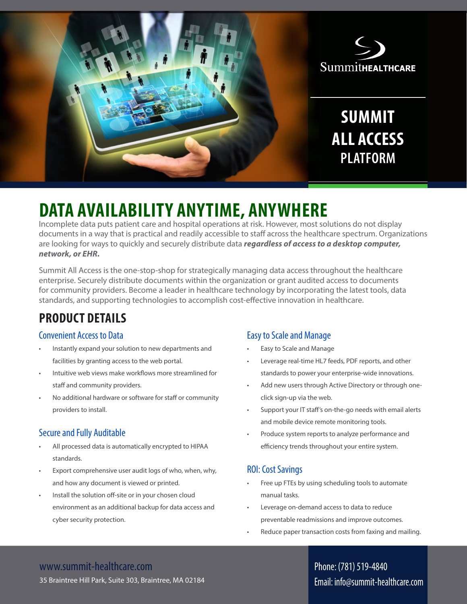

# **DATA AVAILABILITY ANYTIME, ANYWHERE**

Incomplete data puts patient care and hospital operations at risk. However, most solutions do not display documents in a way that is practical and readily accessible to staff across the healthcare spectrum. Organizations are looking for ways to quickly and securely distribute data *regardless of access to a desktop computer, network, or EHR.*

Summit All Access is the one-stop-shop for strategically managing data access throughout the healthcare enterprise. Securely distribute documents within the organization or grant audited access to documents for community providers. Become a leader in healthcare technology by incorporating the latest tools, data standards, and supporting technologies to accomplish cost-effective innovation in healthcare.

# **PRODUCT DETAILS**

### Convenient Access to Data

- Instantly expand your solution to new departments and facilities by granting access to the web portal.
- Intuitive web views make workflows more streamlined for staff and community providers.
- No additional hardware or software for staff or community providers to install.

## Secure and Fully Auditable

- All processed data is automatically encrypted to HIPAA standards.
- Export comprehensive user audit logs of who, when, why, and how any document is viewed or printed.
- Install the solution off-site or in your chosen cloud environment as an additional backup for data access and cyber security protection.

### Easy to Scale and Manage

- Easy to Scale and Manage
- Leverage real-time HL7 feeds, PDF reports, and other standards to power your enterprise-wide innovations.
- Add new users through Active Directory or through oneclick sign-up via the web.
- Support your IT staff's on-the-go needs with email alerts and mobile device remote monitoring tools.
- Produce system reports to analyze performance and efficiency trends throughout your entire system.

### ROI: Cost Savings

- Free up FTEs by using scheduling tools to automate manual tasks.
- Leverage on-demand access to data to reduce preventable readmissions and improve outcomes.
- Reduce paper transaction costs from faxing and mailing.

# www.summit-healthcare.com

35 Braintree Hill Park, Suite 303, Braintree, MA 02184

# Phone: (781) 519-4840 Email: info@summit-healthcare.com